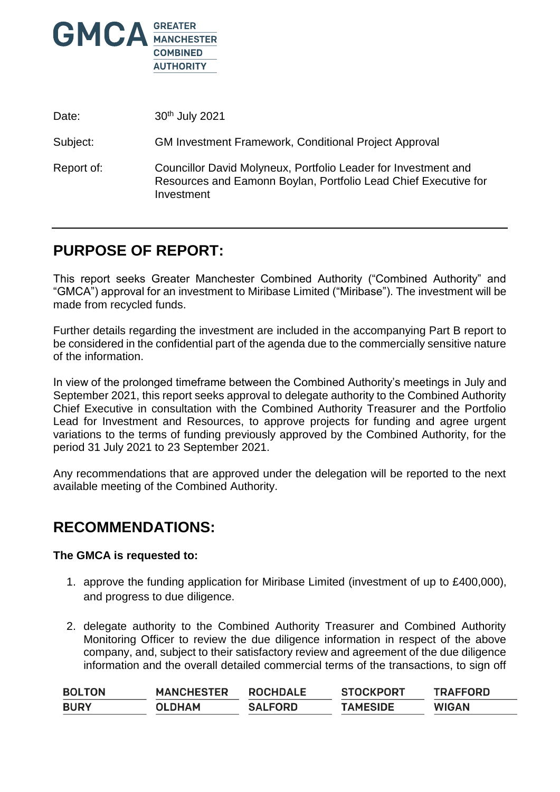

| Date:      | 30 <sup>th</sup> July 2021                                                                                                                      |
|------------|-------------------------------------------------------------------------------------------------------------------------------------------------|
| Subject:   | <b>GM Investment Framework, Conditional Project Approval</b>                                                                                    |
| Report of: | Councillor David Molyneux, Portfolio Leader for Investment and<br>Resources and Eamonn Boylan, Portfolio Lead Chief Executive for<br>Investment |

# **PURPOSE OF REPORT:**

This report seeks Greater Manchester Combined Authority ("Combined Authority" and "GMCA") approval for an investment to Miribase Limited ("Miribase"). The investment will be made from recycled funds.

Further details regarding the investment are included in the accompanying Part B report to be considered in the confidential part of the agenda due to the commercially sensitive nature of the information.

In view of the prolonged timeframe between the Combined Authority's meetings in July and September 2021, this report seeks approval to delegate authority to the Combined Authority Chief Executive in consultation with the Combined Authority Treasurer and the Portfolio Lead for Investment and Resources, to approve projects for funding and agree urgent variations to the terms of funding previously approved by the Combined Authority, for the period 31 July 2021 to 23 September 2021.

Any recommendations that are approved under the delegation will be reported to the next available meeting of the Combined Authority.

## **RECOMMENDATIONS:**

#### **The GMCA is requested to:**

- 1. approve the funding application for Miribase Limited (investment of up to £400,000), and progress to due diligence.
- 2. delegate authority to the Combined Authority Treasurer and Combined Authority Monitoring Officer to review the due diligence information in respect of the above company, and, subject to their satisfactory review and agreement of the due diligence information and the overall detailed commercial terms of the transactions, to sign off

| <b>BOLTON</b> | <b>MANCHESTER</b> | <b>ROCHDALE</b> | <b>STOCKPORT</b> | <b>TRAFFORD</b> |
|---------------|-------------------|-----------------|------------------|-----------------|
| <b>BURY</b>   | <b>OLDHAM</b>     | <b>SALFORD</b>  | <b>TAMESIDE</b>  | <b>WIGAN</b>    |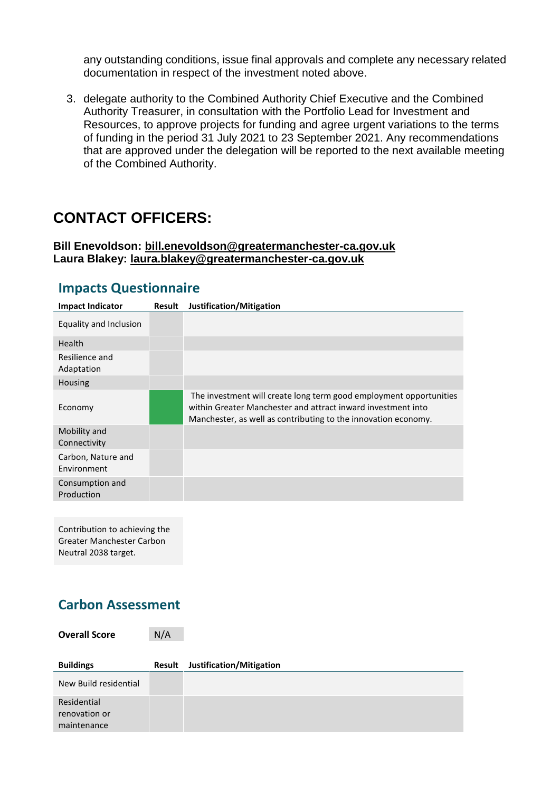any outstanding conditions, issue final approvals and complete any necessary related documentation in respect of the investment noted above.

3. delegate authority to the Combined Authority Chief Executive and the Combined Authority Treasurer, in consultation with the Portfolio Lead for Investment and Resources, to approve projects for funding and agree urgent variations to the terms of funding in the period 31 July 2021 to 23 September 2021. Any recommendations that are approved under the delegation will be reported to the next available meeting of the Combined Authority.

# **CONTACT OFFICERS:**

#### **Bill Enevoldson: [bill.enevoldson@greatermanchester-ca.gov.uk](mailto:bill.enevoldson@greatermanchester-ca.gov.uk) Laura Blakey: [laura.blakey@greatermanchester-ca.gov.uk](mailto:laura.blakey@greatermanchester-ca.gov.uk)**

| <b>Impact Indicator</b>           | <b>Result</b> | Justification/Mitigation                                                                                                                                                                             |
|-----------------------------------|---------------|------------------------------------------------------------------------------------------------------------------------------------------------------------------------------------------------------|
| Equality and Inclusion            |               |                                                                                                                                                                                                      |
| <b>Health</b>                     |               |                                                                                                                                                                                                      |
| Resilience and<br>Adaptation      |               |                                                                                                                                                                                                      |
| Housing                           |               |                                                                                                                                                                                                      |
| Economy                           |               | The investment will create long term good employment opportunities<br>within Greater Manchester and attract inward investment into<br>Manchester, as well as contributing to the innovation economy. |
| Mobility and<br>Connectivity      |               |                                                                                                                                                                                                      |
| Carbon, Nature and<br>Environment |               |                                                                                                                                                                                                      |
| Consumption and<br>Production     |               |                                                                                                                                                                                                      |

### **Impacts Questionnaire**

Contribution to achieving the Greater Manchester Carbon Neutral 2038 target.

## **Carbon Assessment**

**Overall Score** N/A

| <b>Buildings</b>                            | Result | Justification/Mitigation |
|---------------------------------------------|--------|--------------------------|
| New Build residential                       |        |                          |
| Residential<br>renovation or<br>maintenance |        |                          |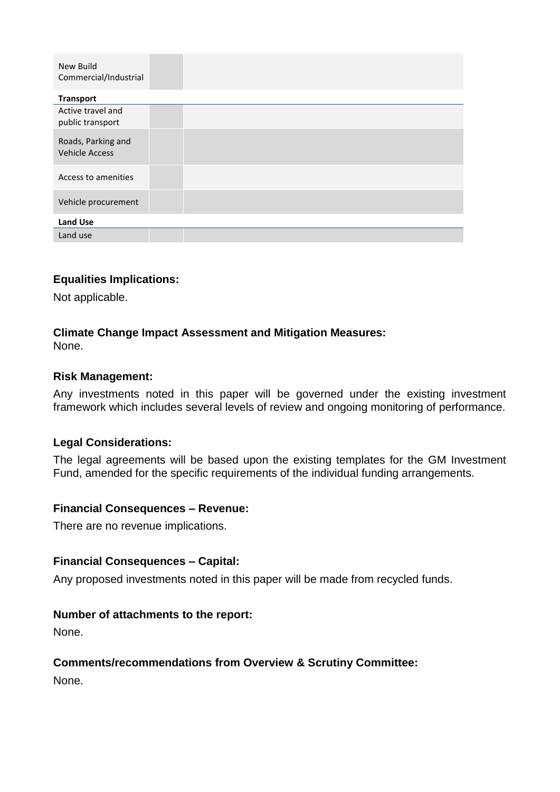| New Build<br>Commercial/Industrial          |  |
|---------------------------------------------|--|
| <b>Transport</b>                            |  |
| Active travel and<br>public transport       |  |
| Roads, Parking and<br><b>Vehicle Access</b> |  |
| Access to amenities                         |  |
| Vehicle procurement                         |  |
| <b>Land Use</b>                             |  |
| Land use                                    |  |

#### **Equalities Implications:**

Not applicable.

#### **Climate Change Impact Assessment and Mitigation Measures:**

None.

#### **Risk Management:**

Any investments noted in this paper will be governed under the existing investment framework which includes several levels of review and ongoing monitoring of performance.

#### **Legal Considerations:**

The legal agreements will be based upon the existing templates for the GM Investment Fund, amended for the specific requirements of the individual funding arrangements.

#### **Financial Consequences – Revenue:**

There are no revenue implications.

#### **Financial Consequences – Capital:**

Any proposed investments noted in this paper will be made from recycled funds.

#### **Number of attachments to the report:**

None.

#### **Comments/recommendations from Overview & Scrutiny Committee:**

None.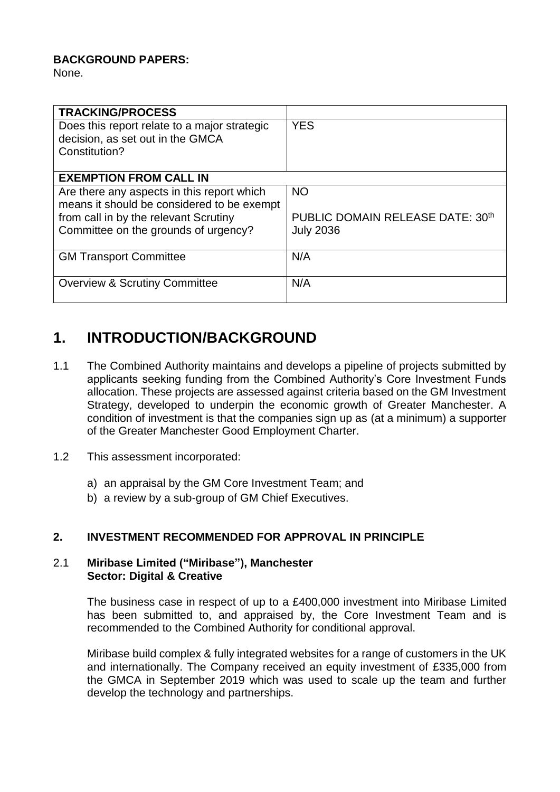### **BACKGROUND PAPERS:**

None.

| <b>TRACKING/PROCESS</b>                      |                                  |
|----------------------------------------------|----------------------------------|
| Does this report relate to a major strategic | <b>YES</b>                       |
| decision, as set out in the GMCA             |                                  |
| Constitution?                                |                                  |
|                                              |                                  |
| <b>EXEMPTION FROM CALL IN</b>                |                                  |
| Are there any aspects in this report which   | <b>NO</b>                        |
| means it should be considered to be exempt   |                                  |
| from call in by the relevant Scrutiny        | PUBLIC DOMAIN RELEASE DATE: 30th |
| Committee on the grounds of urgency?         | <b>July 2036</b>                 |
|                                              |                                  |
| <b>GM Transport Committee</b>                | N/A                              |
|                                              |                                  |
| <b>Overview &amp; Scrutiny Committee</b>     | N/A                              |
|                                              |                                  |

## **1. INTRODUCTION/BACKGROUND**

- 1.1 The Combined Authority maintains and develops a pipeline of projects submitted by applicants seeking funding from the Combined Authority's Core Investment Funds allocation. These projects are assessed against criteria based on the GM Investment Strategy, developed to underpin the economic growth of Greater Manchester. A condition of investment is that the companies sign up as (at a minimum) a supporter of the Greater Manchester Good Employment Charter.
- 1.2 This assessment incorporated:
	- a) an appraisal by the GM Core Investment Team; and
	- b) a review by a sub-group of GM Chief Executives.

### **2. INVESTMENT RECOMMENDED FOR APPROVAL IN PRINCIPLE**

#### 2.1 **Miribase Limited ("Miribase"), Manchester Sector: Digital & Creative**

The business case in respect of up to a £400,000 investment into Miribase Limited has been submitted to, and appraised by, the Core Investment Team and is recommended to the Combined Authority for conditional approval.

Miribase build complex & fully integrated websites for a range of customers in the UK and internationally. The Company received an equity investment of £335,000 from the GMCA in September 2019 which was used to scale up the team and further develop the technology and partnerships.